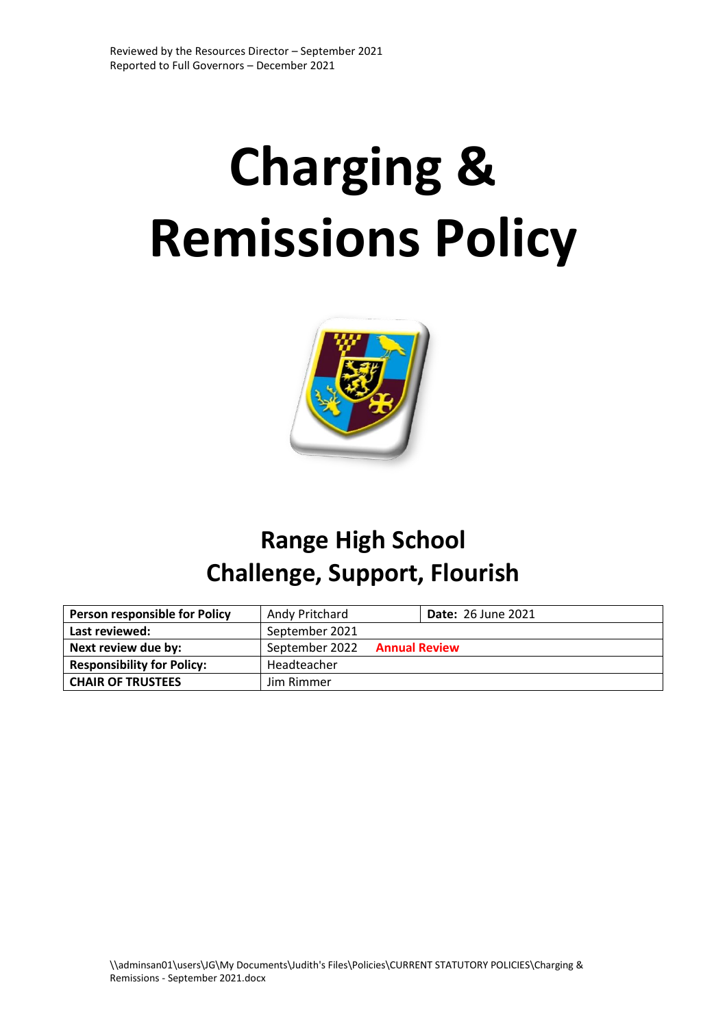# **Charging & Remissions Policy**



## **Range High School Challenge, Support, Flourish**

| <b>Person responsible for Policy</b> | Andy Pritchard |                      | <b>Date: 26 June 2021</b> |
|--------------------------------------|----------------|----------------------|---------------------------|
| Last reviewed:                       | September 2021 |                      |                           |
| Next review due by:                  | September 2022 | <b>Annual Review</b> |                           |
| <b>Responsibility for Policy:</b>    | Headteacher    |                      |                           |
| <b>CHAIR OF TRUSTEES</b>             | Jim Rimmer     |                      |                           |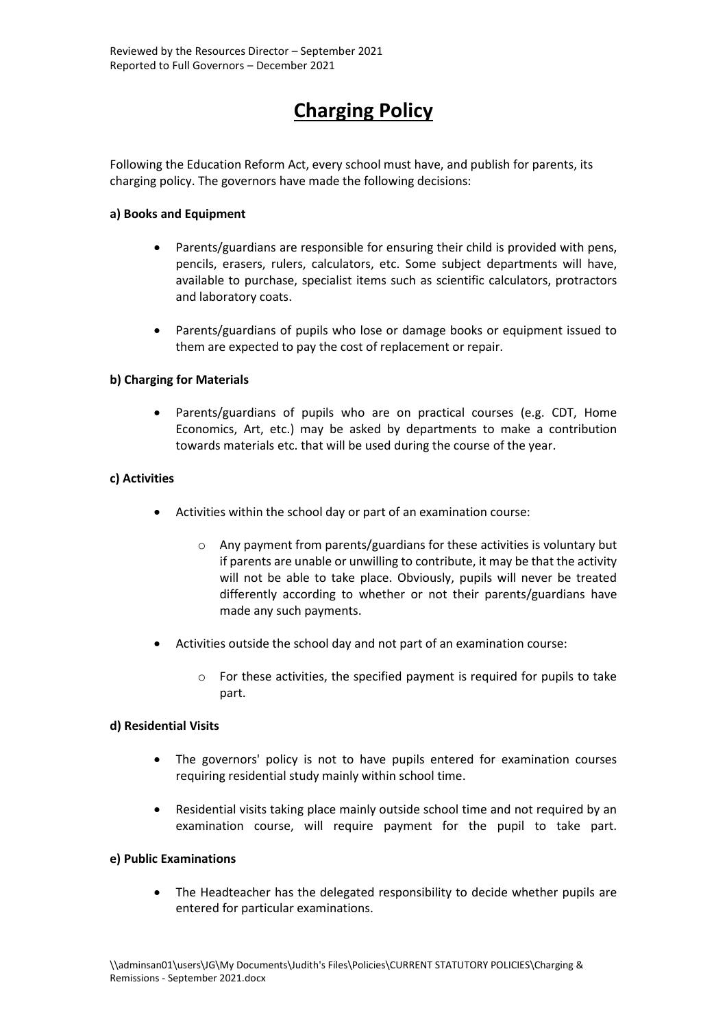### **Charging Policy**

Following the Education Reform Act, every school must have, and publish for parents, its charging policy. The governors have made the following decisions:

#### **a) Books and Equipment**

- Parents/guardians are responsible for ensuring their child is provided with pens, pencils, erasers, rulers, calculators, etc. Some subject departments will have, available to purchase, specialist items such as scientific calculators, protractors and laboratory coats.
- Parents/guardians of pupils who lose or damage books or equipment issued to them are expected to pay the cost of replacement or repair.

#### **b) Charging for Materials**

 Parents/guardians of pupils who are on practical courses (e.g. CDT, Home Economics, Art, etc.) may be asked by departments to make a contribution towards materials etc. that will be used during the course of the year.

#### **c) Activities**

- Activities within the school day or part of an examination course:
	- o Any payment from parents/guardians for these activities is voluntary but if parents are unable or unwilling to contribute, it may be that the activity will not be able to take place. Obviously, pupils will never be treated differently according to whether or not their parents/guardians have made any such payments.
- Activities outside the school day and not part of an examination course:
	- o For these activities, the specified payment is required for pupils to take part.

#### **d) Residential Visits**

- The governors' policy is not to have pupils entered for examination courses requiring residential study mainly within school time.
- Residential visits taking place mainly outside school time and not required by an examination course, will require payment for the pupil to take part.

#### **e) Public Examinations**

 The Headteacher has the delegated responsibility to decide whether pupils are entered for particular examinations.